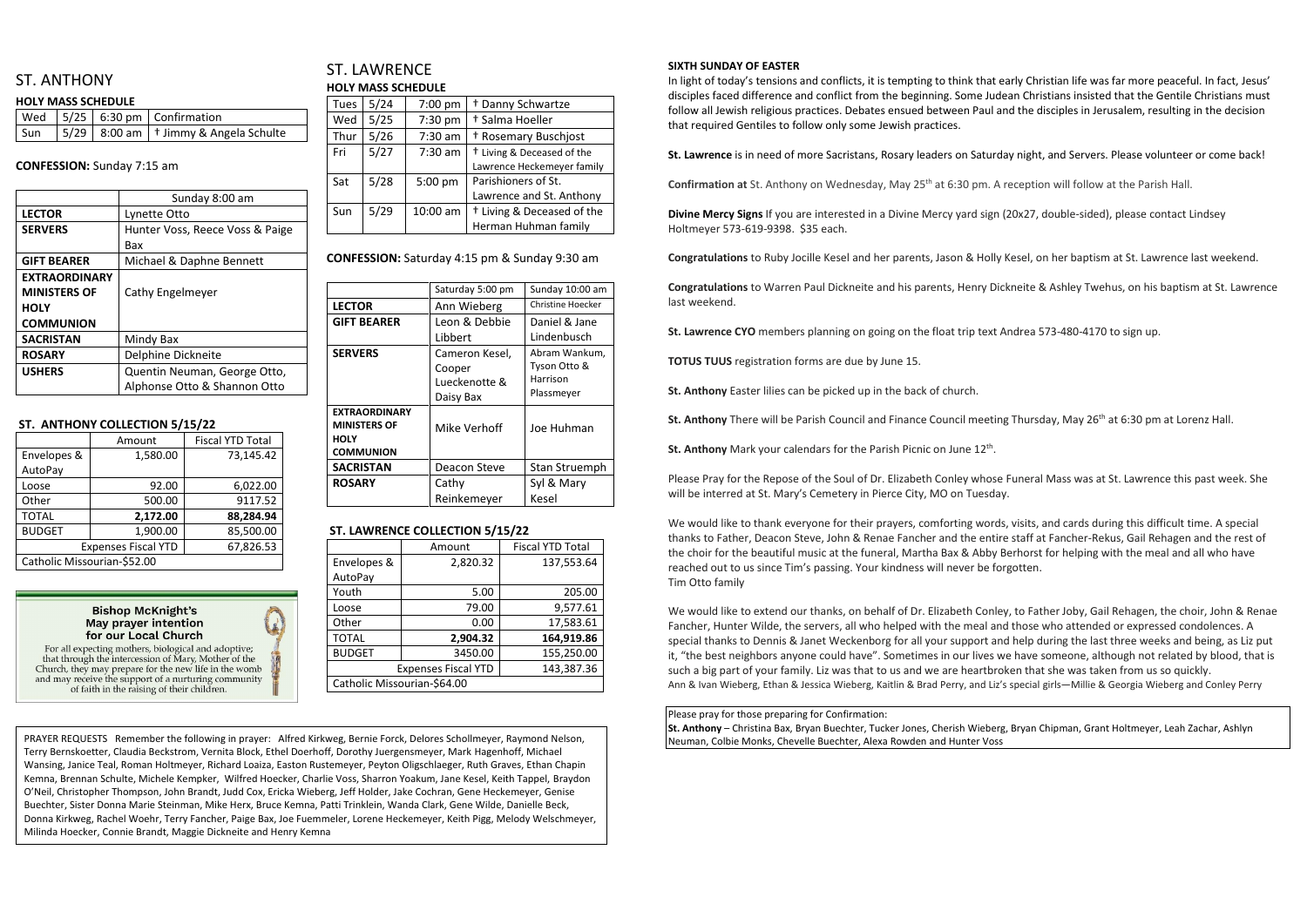# ST. ANTHONY

### **HOLY MASS SCHEDULE**

|  | $\vert$ Wed $\vert$ 5/25 $\vert$ 6:30 pm $\vert$ Confirmation             |
|--|---------------------------------------------------------------------------|
|  | $\vert$ Sun $\vert$ 5/29 $\vert$ 8:00 am $\vert$ † Jimmy & Angela Schulte |

### **CONFESSION:** Sunday 7:15 am

|                      | Sunday 8:00 am                  |  |
|----------------------|---------------------------------|--|
| <b>LECTOR</b>        | Lynette Otto                    |  |
| <b>SERVERS</b>       | Hunter Voss, Reece Voss & Paige |  |
|                      | Bax                             |  |
| <b>GIFT BEARER</b>   | Michael & Daphne Bennett        |  |
| <b>EXTRAORDINARY</b> |                                 |  |
| <b>MINISTERS OF</b>  | Cathy Engelmeyer                |  |
| <b>HOLY</b>          |                                 |  |
| <b>COMMUNION</b>     |                                 |  |
| <b>SACRISTAN</b>     | Mindy Bax                       |  |
| <b>ROSARY</b>        | Delphine Dickneite              |  |
| <b>USHERS</b>        | Quentin Neuman, George Otto,    |  |
|                      | Alphonse Otto & Shannon Otto    |  |

## ST. LAWRENCE **HOLY MASS SCHEDULE**

### **ST. ANTHONY COLLECTION 5/15/22**

|                             | Amount    | <b>Fiscal YTD Total</b> |  |  |
|-----------------------------|-----------|-------------------------|--|--|
| Envelopes &                 | 1,580.00  | 73,145.42               |  |  |
| AutoPay                     |           |                         |  |  |
| Loose                       | 92.00     | 6,022.00                |  |  |
| Other                       | 500.00    | 9117.52                 |  |  |
| <b>TOTAL</b>                | 2,172.00  | 88,284.94               |  |  |
| <b>BUDGET</b>               | 1,900.00  | 85,500.00               |  |  |
| <b>Expenses Fiscal YTD</b>  | 67,826.53 |                         |  |  |
| Catholic Missourian-\$52.00 |           |                         |  |  |

**Bishop McKnight's May prayer intention** for our Local Church



that through the intercession of Mary, Mother of the Church, they may prepare for the new life in the womb and may receive the support of a nurturing community of faith in the raising of their children.

| Tues | 5/24 | 7:00 pm   | <sup>†</sup> Danny Schwartze          |  |  |
|------|------|-----------|---------------------------------------|--|--|
| Wed  | 5/25 | 7:30 pm   | † Salma Hoeller                       |  |  |
| Thur | 5/26 | $7:30$ am | <sup>†</sup> Rosemary Buschjost       |  |  |
| Fri  | 5/27 | $7:30$ am | <sup>†</sup> Living & Deceased of the |  |  |
|      |      |           | Lawrence Heckemeyer family            |  |  |
| Sat  | 5/28 | 5:00 pm   | Parishioners of St.                   |  |  |
|      |      |           | Lawrence and St. Anthony              |  |  |
| Sun  | 5/29 | 10:00 am  | <sup>†</sup> Living & Deceased of the |  |  |
|      |      |           | Herman Huhman family                  |  |  |
|      |      |           |                                       |  |  |

**CONFESSION:** Saturday 4:15 pm & Sunday 9:30 am

| Saturday 5:00 pm | Sunday 10:00 am   |
|------------------|-------------------|
| Ann Wieberg      | Christine Hoecker |
| Leon & Debbie    | Daniel & Jane     |
| Libbert          | Lindenbusch       |
| Cameron Kesel,   | Abram Wankum,     |
| Cooper           | Tyson Otto &      |
| Lueckenotte &    | Harrison          |
| Daisy Bax        | Plassmeyer        |
|                  |                   |
| Mike Verhoff     | Joe Huhman        |
|                  |                   |
| Deacon Steve     | Stan Struemph     |
| Cathy            | Syl & Mary        |
| Reinkemeyer      | Kesel             |
|                  |                   |

## **ST. LAWRENCE COLLECTION 5/15/22**

|                             | Amount                     | <b>Fiscal YTD Total</b> |  |  |
|-----------------------------|----------------------------|-------------------------|--|--|
| Envelopes &                 | 2,820.32                   | 137,553.64              |  |  |
| AutoPay                     |                            |                         |  |  |
| Youth                       | 5.00                       | 205.00                  |  |  |
| Loose                       | 79.00                      | 9,577.61                |  |  |
| Other                       | 0.00                       | 17,583.61               |  |  |
| <b>TOTAL</b>                | 2,904.32                   | 164,919.86              |  |  |
| <b>BUDGET</b>               | 3450.00                    | 155,250.00              |  |  |
|                             | <b>Expenses Fiscal YTD</b> | 143,387.36              |  |  |
| Catholic Missourian-\$64.00 |                            |                         |  |  |

### **SIXTH SUNDAY OF EASTER**

In light of today's tensions and conflicts, it is tempting to think that early Christian life was far more peaceful. In fact, Jesus' disciples faced difference and conflict from the beginning. Some Judean Christians insisted that the Gentile Christians must follow all Jewish religious practices. Debates ensued between Paul and the disciples in Jerusalem, resulting in the decision that required Gentiles to follow only some Jewish practices.

**St. Lawrence** is in need of more Sacristans, Rosary leaders on Saturday night, and Servers. Please volunteer or come back!

**Confirmation at** St. Anthony on Wednesday, May 25<sup>th</sup> at 6:30 pm. A reception will follow at the Parish Hall.

**Divine Mercy Signs** If you are interested in a Divine Mercy yard sign (20x27, double-sided), please contact Lindsey Holtmeyer 573-619-9398. \$35 each.

**Congratulations** to Ruby Jocille Kesel and her parents, Jason & Holly Kesel, on her baptism at St. Lawrence last weekend.

**Congratulations** to Warren Paul Dickneite and his parents, Henry Dickneite & Ashley Twehus, on his baptism at St. Lawrence last weekend.

**St. Lawrence CYO** members planning on going on the float trip text Andrea 573-480-4170 to sign up.

**TOTUS TUUS** registration forms are due by June 15.

**St. Anthony** Easter lilies can be picked up in the back of church.

St. Anthony There will be Parish Council and Finance Council meeting Thursday, May 26<sup>th</sup> at 6:30 pm at Lorenz Hall.

St. Anthony Mark your calendars for the Parish Picnic on June 12<sup>th</sup>.

Please Pray for the Repose of the Soul of Dr. Elizabeth Conley whose Funeral Mass was at St. Lawrence this past week. She will be interred at St. Mary's Cemetery in Pierce City, MO on Tuesday.

We would like to thank everyone for their prayers, comforting words, visits, and cards during this difficult time. A special thanks to Father, Deacon Steve, John & Renae Fancher and the entire staff at Fancher-Rekus, Gail Rehagen and the rest of the choir for the beautiful music at the funeral, Martha Bax & Abby Berhorst for helping with the meal and all who have reached out to us since Tim's passing. Your kindness will never be forgotten. Tim Otto family

We would like to extend our thanks, on behalf of Dr. Elizabeth Conley, to Father Joby, Gail Rehagen, the choir, John & Renae Fancher, Hunter Wilde, the servers, all who helped with the meal and those who attended or expressed condolences. A special thanks to Dennis & Janet Weckenborg for all your support and help during the last three weeks and being, as Liz put it, "the best neighbors anyone could have". Sometimes in our lives we have someone, although not related by blood, that is such a big part of your family. Liz was that to us and we are heartbroken that she was taken from us so quickly. Ann & Ivan Wieberg, Ethan & Jessica Wieberg, Kaitlin & Brad Perry, and Liz's special girls—Millie & Georgia Wieberg and Conley Perry

Please pray for those preparing for Confirmation: **St. Anthony** – Christina Bax, Bryan Buechter, Tucker Jones, Cherish Wieberg, Bryan Chipman, Grant Holtmeyer, Leah Zachar, Ashlyn Neuman, Colbie Monks, Chevelle Buechter, Alexa Rowden and Hunter Voss

PRAYER REQUESTS Remember the following in prayer: Alfred Kirkweg, Bernie Forck, Delores Schollmeyer, Raymond Nelson, Terry Bernskoetter, Claudia Beckstrom, Vernita Block, Ethel Doerhoff, Dorothy Juergensmeyer, Mark Hagenhoff, Michael Wansing, Janice Teal, Roman Holtmeyer, Richard Loaiza, Easton Rustemeyer, Peyton Oligschlaeger, Ruth Graves, Ethan Chapin Kemna, Brennan Schulte, Michele Kempker, Wilfred Hoecker, Charlie Voss, Sharron Yoakum, Jane Kesel, Keith Tappel, Braydon O'Neil, Christopher Thompson, John Brandt, Judd Cox, Ericka Wieberg, Jeff Holder, Jake Cochran, Gene Heckemeyer, Genise Buechter, Sister Donna Marie Steinman, Mike Herx, Bruce Kemna, Patti Trinklein, Wanda Clark, Gene Wilde, Danielle Beck, Donna Kirkweg, Rachel Woehr, Terry Fancher, Paige Bax, Joe Fuemmeler, Lorene Heckemeyer, Keith Pigg, Melody Welschmeyer, Milinda Hoecker, Connie Brandt, Maggie Dickneite and Henry Kemna